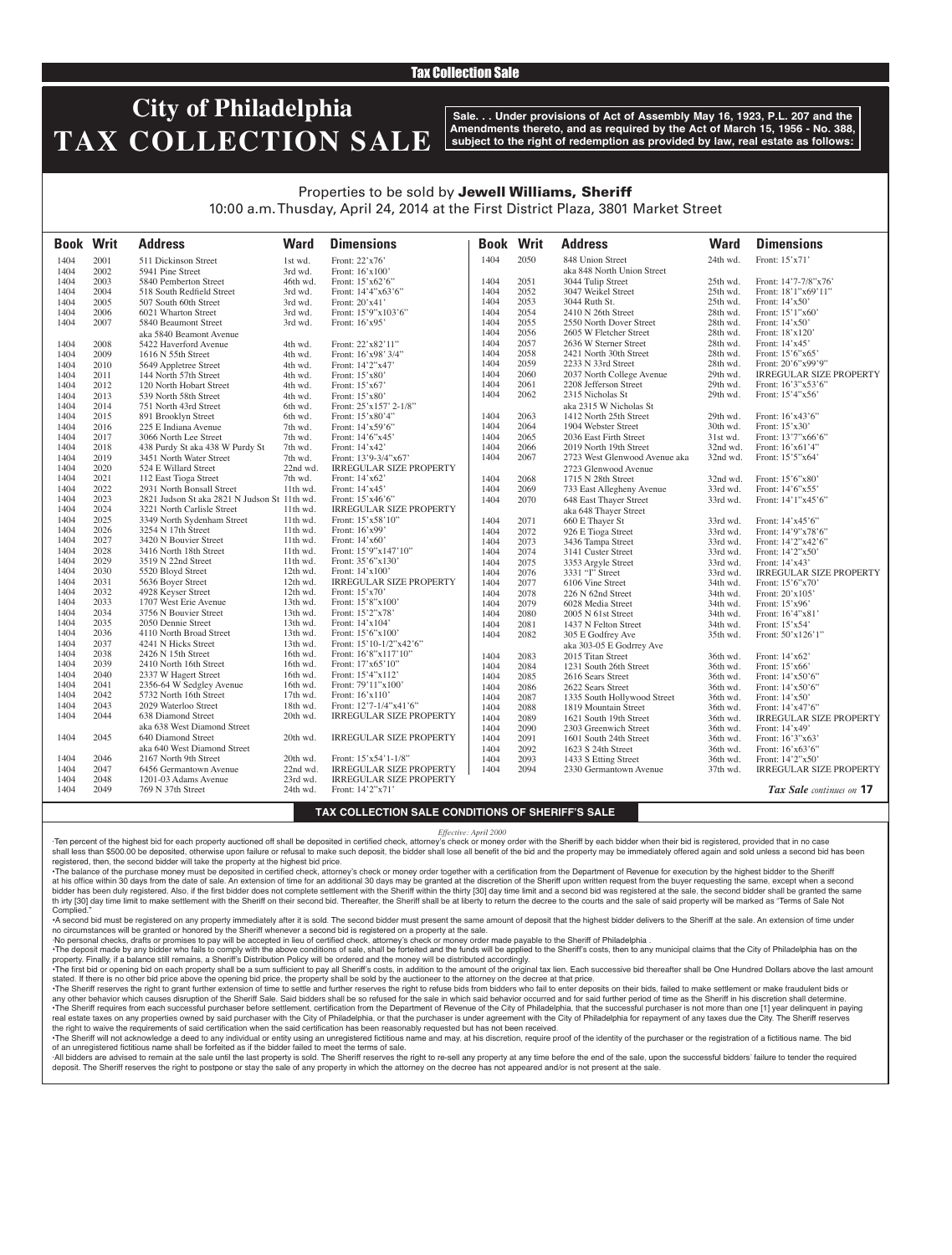### Tax Collection Sale

# **City of Philadelphia TAX COLLECTION SALE**

**Sale. . . Under provisions of Act of Assembly May 16, 1923, P.L. 207 and the Amendments thereto, and as required by the Act of March 15, 1956 - No. 388, subject to the right of redemption as provided by law, real estate as follows:**

### Properties to be sold by Jewell Williams, Sheriff 10:00 a.m. Thusday, April 24, 2014 at the First District Plaza, 3801 Market Street

| <b>Book Writ</b> |      | <b>Address</b>                               | <b>Ward</b> | <b>Dimensions</b>              | <b>Book Writ</b> |      | <b>Address</b>                               | <b>Ward</b>          | <b>Dimensions</b>                    |
|------------------|------|----------------------------------------------|-------------|--------------------------------|------------------|------|----------------------------------------------|----------------------|--------------------------------------|
| 1404             | 2001 | 511 Dickinson Street                         | 1st wd.     | Front: 22'x76'                 | 1404             | 2050 | 848 Union Street                             | 24th wd.             | Front: 15'x71'                       |
| 1404             | 2002 | 5941 Pine Street                             | 3rd wd.     | Front: 16'x100'                |                  |      | aka 848 North Union Street                   |                      |                                      |
| 1404             | 2003 | 5840 Pemberton Street                        | 46th wd.    | Front: 15'x62'6"               | 1404             | 2051 | 3044 Tulip Street                            | 25th wd.             | Front: 14'7-7/8"x76'                 |
| 1404             | 2004 | 518 South Redfield Street                    | 3rd wd.     | Front: 14'4"x63'6"             | 1404             | 2052 | 3047 Weikel Street                           | 25th wd.             | Front: 18'1"x69'11"                  |
| 1404             | 2005 | 507 South 60th Street                        | 3rd wd.     | Front: $20'x41'$               | 1404             | 2053 | 3044 Ruth St.                                | 25th wd.             | Front: 14'x50'                       |
| 1404             | 2006 | 6021 Wharton Street                          | 3rd wd.     | Front: 15'9"x103'6"            | 1404             | 2054 | 2410 N 26th Street                           | 28th wd.             | Front: 15'1"x60'                     |
| 1404             | 2007 | 5840 Beaumont Street                         | 3rd wd.     | Front: 16'x95'                 | 1404             | 2055 | 2550 North Dover Street                      | 28th wd.             | Front: 14'x50'                       |
|                  |      | aka 5840 Beamont Avenue                      |             |                                | 1404             | 2056 | 2605 W Fletcher Street                       | 28th wd.             | Front: 18'x120'                      |
| 1404             | 2008 | 5422 Haverford Avenue                        | 4th wd.     | Front: 22'x82'11"              | 1404             | 2057 | 2636 W Sterner Street                        | 28th wd.             | Front: 14'x45'                       |
| 1404             | 2009 | 1616 N 55th Street                           | 4th wd.     | Front: 16'x98' 3/4"            | 1404             | 2058 | 2421 North 30th Street                       | 28th wd.             | Front: 15'6"x65'                     |
| 1404             | 2010 | 5649 Appletree Street                        | 4th wd.     | Front: 14'2"x47'               | 1404             | 2059 | 2233 N 33rd Street                           | 28th wd.             | Front: 20'6"x99'9"                   |
| 1404             | 2011 | 144 North 57th Street                        | 4th wd.     | Front: 15'x80'                 | 1404             | 2060 | 2037 North College Avenue                    | 29th wd.             | <b>IRREGULAR SIZE PROPERTY</b>       |
| 1404             | 2012 | 120 North Hobart Street                      | 4th wd.     | Front: 15'x67'                 | 1404             | 2061 | 2208 Jefferson Street                        | 29th wd.             | Front: 16'3"x53'6"                   |
| 1404             | 2013 | 539 North 58th Street                        | 4th wd.     | Front: 15'x80'                 | 1404             | 2062 | 2315 Nicholas St                             | 29th wd.             | Front: 15'4"x56'                     |
| 1404             | 2014 | 751 North 43rd Street                        | 6th wd.     | Front: 25'x157' 2-1/8"         |                  |      | aka 2315 W Nicholas St                       |                      |                                      |
| 1404             | 2015 | 891 Brooklyn Street                          | 6th wd.     | Front: 15'x80'4"               | 1404             | 2063 | 1412 North 25th Street                       | 29th wd.             | Front: 16'x43'6"                     |
| 1404             | 2016 | 225 E Indiana Avenue                         | 7th wd.     | Front: 14'x59'6"               | 1404             | 2064 | 1904 Webster Street                          | 30th wd.             | Front: 15'x30'                       |
| 1404             | 2017 | 3066 North Lee Street                        | 7th wd.     | Front: 14'6"x45'               | 1404             | 2065 | 2036 East Firth Street                       | 31st wd.             | Front: 13'7"x66'6"                   |
| 1404             | 2018 | 438 Purdy St aka 438 W Purdy St              | 7th wd.     | Front: 14'x42'                 | 1404             | 2066 | 2019 North 19th Street                       | 32nd wd.             | Front: $16'x61'4"$                   |
| 1404             | 2019 | 3451 North Water Street                      | 7th wd.     | Front: 13'9-3/4"x67'           | 1404             | 2067 | 2723 West Glenwood Avenue aka                | 32nd wd.             | Front: 15'5"x64'                     |
| 1404             | 2020 | 524 E Willard Street                         | 22nd wd.    | <b>IRREGULAR SIZE PROPERTY</b> |                  |      | 2723 Glenwood Avenue                         |                      |                                      |
| 1404             | 2021 | 112 East Tioga Street                        | 7th wd.     | Front: 14'x62'                 | 1404             | 2068 | 1715 N 28th Street                           | 32nd wd.             | Front: 15'6"x80'                     |
| 1404             | 2022 | 2931 North Bonsall Street                    | 11th wd.    | Front: 14'x45'                 | 1404             | 2069 | 733 East Allegheny Avenue                    | 33rd wd.             | Front: 14'6"x55'                     |
| 1404             | 2023 | 2821 Judson St aka 2821 N Judson St 11th wd. |             | Front: $15'x46'6"$             | 1404             | 2070 | 648 East Thayer Street                       | 33rd wd.             | Front: $14'1''x45'6''$               |
| 1404             | 2024 | 3221 North Carlisle Street                   | 11th wd.    | <b>IRREGULAR SIZE PROPERTY</b> |                  |      | aka 648 Thayer Street                        |                      |                                      |
| 1404             | 2025 | 3349 North Sydenham Street                   | 11th wd.    | Front: 15'x58'10"              | 1404             | 2071 | 660 E Thayer St                              | 33rd wd.             | Front: 14'x45'6"                     |
| 1404             | 2026 | 3254 N 17th Street                           | 11th wd.    | Front: 16'x99'                 | 1404             | 2072 | 926 E Tioga Street                           | 33rd wd.             | Front: 14'9"x78'6"                   |
| 1404             | 2027 | 3420 N Bouvier Street                        | $11th$ wd.  | Front: $14'x60'$               | 1404             | 2073 | 3436 Tampa Street                            | 33rd wd.             | Front: 14'2"x42'6"                   |
| 1404             | 2028 | 3416 North 18th Street                       | 11th wd.    | Front: 15'9"x147'10"           | 1404             | 2074 | 3141 Custer Street                           | 33rd wd.             | Front: 14'2"x50'                     |
| 1404             | 2029 | 3519 N 22nd Street                           | 11th wd.    | Front: 35'6"x130"              | 1404             | 2075 | 3353 Argyle Street                           | 33rd wd.             | Front: 14'x43'                       |
| 1404             | 2030 | 5520 Bloyd Street                            | 12th wd.    | Front: $14'x100'$              | 1404             | 2076 | 3331 "I" Street                              | 33rd wd.             | <b>IRREGULAR SIZE PROPERTY</b>       |
| 1404             | 2031 | 5636 Boyer Street                            | 12th wd.    | <b>IRREGULAR SIZE PROPERTY</b> | 1404             | 2077 | 6106 Vine Street                             | 34th wd.             | Front: 15'6"x70'                     |
| 1404             | 2032 | 4928 Keyser Street                           | 12th wd.    | Front: 15'x70'                 | 1404             | 2078 | 226 N 62nd Street                            | 34th wd.             | Front: 20'x105'                      |
| 1404             | 2033 | 1707 West Erie Avenue                        | 13th wd.    | Front: 15'8"x100'              | 1404             | 2079 | 6028 Media Street                            | 34th wd.             | Front: 15'x96'                       |
| 1404             | 2034 | 3756 N Bouvier Street                        | 13th wd.    | Front: 15'2"x78'               | 1404             | 2080 | 2005 N 61st Street                           | 34th wd.             | Front: 16'4"x81'                     |
| 1404             | 2035 | 2050 Dennie Street                           | 13th wd.    | Front: 14'x104'                | 1404             | 2081 | 1437 N Felton Street                         | 34th wd.             | Front: 15'x54'                       |
| 1404             | 2036 | 4110 North Broad Street                      | 13th wd.    | Front: 15'6"x100"              | 1404             | 2082 | 305 E Godfrey Ave                            | 35th wd.             | Front: 50'x126'1"                    |
| 1404             | 2037 | 4241 N Hicks Street                          | 13th wd.    | Front: 15'10-1/2"x42'6"        |                  |      | aka 303-05 E Godrrey Ave                     |                      |                                      |
| 1404             | 2038 | 2426 N 15th Street                           | 16th wd.    | Front: 16'8"x117'10"           | 1404             | 2083 | 2015 Titan Street                            | 36th wd.             | Front: 14'x62'                       |
| 1404             | 2039 | 2410 North 16th Street                       | 16th wd.    | Front: 17'x65'10"              | 1404             | 2084 | 1231 South 26th Street                       | 36th wd.             | Front: 15'x66'                       |
| 1404             | 2040 | 2337 W Hagert Street                         | 16th wd.    | Front: 15'4"x112'              | 1404             | 2085 | 2616 Sears Street                            | 36th wd.             | Front: 14'x50'6"                     |
| 1404             | 2041 | 2356-64 W Sedgley Avenue                     | 16th wd.    | Front: 79'11"x100'             | 1404             | 2086 | 2622 Sears Street                            | 36th wd.             | Front: 14'x50'6"                     |
| 1404             | 2042 | 5732 North 16th Street                       | 17th wd.    | Front: $16'x110'$              | 1404             | 2087 | 1335 South Hollywood Street                  | 36th wd.             | Front: $14'x50'$                     |
| 1404             | 2043 | 2029 Waterloo Street                         | 18th wd.    | Front: 12'7-1/4"x41'6"         | 1404             | 2088 | 1819 Mountain Street                         | 36th wd.             | Front: 14'x47'6"                     |
| 1404             | 2044 | 638 Diamond Street                           | 20th wd.    | <b>IRREGULAR SIZE PROPERTY</b> | 1404             | 2089 | 1621 South 19th Street                       | 36th wd.             | <b>IRREGULAR SIZE PROPERTY</b>       |
|                  |      | aka 638 West Diamond Street                  |             |                                | 1404             | 2090 | 2303 Greenwich Street                        | 36th wd.             | Front: 14'x49'                       |
| 1404             | 2045 | 640 Diamond Street                           | 20th wd.    | <b>IRREGULAR SIZE PROPERTY</b> | 1404             | 2091 |                                              |                      |                                      |
|                  |      | aka 640 West Diamond Street                  |             |                                | 1404             | 2092 | 1601 South 24th Street<br>1623 S 24th Street | 36th wd.<br>36th wd. | Front: 16'3"x63'<br>Front: 16'x63'6" |
| 1404             | 2046 | 2167 North 9th Street                        | 20th wd.    | Front: $15'x54'1-1/8"$         | 1404             | 2093 | 1433 S Etting Street                         | 36th wd.             | Front: 14'2"x50'                     |
| 1404             | 2047 | 6456 Germantown Avenue                       | $22nd$ wd.  | <b>IRREGULAR SIZE PROPERTY</b> | 1404             | 2094 | 2330 Germantown Avenue                       | 37th wd.             | <b>IRREGULAR SIZE PROPERTY</b>       |
| 1404             | 2048 | 1201-03 Adams Avenue                         | 23rd wd.    | <b>IRREGULAR SIZE PROPERTY</b> |                  |      |                                              |                      |                                      |
| 1404             | 2049 | 769 N 37th Street                            | 24th wd.    | Front: 14'2"x71'               |                  |      |                                              |                      | <b>Tax Sale</b> continues on 17      |
|                  |      |                                              |             |                                |                  |      |                                              |                      |                                      |

#### **TAX COLLECTION SALE CONDITIONS OF SHERIFF'S SALE**

#### *Effective: April 2000*

·Ten percent of the highest bid for each property auctioned off shall be deposited in certified check, attorney's check or money order with the Sheriff by each bidder when their bid is registered, provided that in no case shall less than \$500.00 be deposited, otherwise upon failure or refusal to make such deposit, the bidder shall lose all benefit of the bid and the property may be immediately offered again and sold unless a second bid has registered, then, the second bidder will take the property at the highest bid price.

•The balance of the purchase money must be deposited in certified check, attorney's check or money order together with a certification from the Department of Revenue for execution by the highest bidder to the Sheriff at his office within 30 days from the date of sale. An extension of time for an additional 30 days may be granted at the discretion of the Sheriff upon written request from the buyer requesting the same, except when a second bidder has been duly registered. Also, if the first bidder does not complete settlement with the Sheriff within the thirty [30] day time limit and a second bid was registered at the sale, the second bidder shall be granted th irty [30] day time limit to make settlement with the Sheriff on their second bid. Thereafter, the Sheriff shall be at liberty to return the decree to the courts and the sale of said property will be marked as "Terms of Complied.

•A second bid must be registered on any property immediately after it is sold. The second bidder must present the same amount of deposit that the highest bidder delivers to the Sheriff at the sale. An extension of time under no circumstances will be granted or honored by the Sheriff whenever a second bid is registered on a property at the sale.

·No personal checks, drafts or promises to pay will be accepted in lieu of certified check, attorney's check or money order made payable to the Sheriff of Philadelphia .

. The deposit made by any bidder who fails to comply with the above conditions of sale, shall be forteited and the funds will be applied to the Sheriff's costs, then to any municipal claims that the City of Philadelphia ha

property. Finally, if a balance still remains, a Sheriff's Distribution Policy will be ordered and the money will be distributed accordingly. The first bid or opening bid on each property shall be a sum sufficient to pay all Sheriff's costs, in addition to the amount of the original tax lien. Each successive bid thereafter shall be One Hundred Dollars above the

stated. If there is no other bid price above the opening bid price, the property shall be sold by the auctioneer to the attorney on the decree at that price. ·The Sheriff reserves the right to grant further extension of time to settle and further reserves the right to refuse bids from bidders who fail to enter deposits on their bids, failed to make settlement or make fraudulent

any other behavior which causes disruption of the Sheriff Sale. Said bidders shall be so refused for the sale in which said behavior occurred and for said further period of time as the Sheriff in his discretion shall deter The Sheriff requires from each successful purchaser before settlement, certification from the Department of Revenue of the City of Philadelphia, that the successful purchaser is not more than one [1] year delinquent in pay real estate taxes on any properties owned by said purchaser with the City of Philadelphia, or that the purchaser is under agreement with the City of Philadelphia for repayment of any taxes due the City. The Sheriff reserve the right to waive the requirements of said certification when the said certification has been reasonably requested but has not been received.

. The Sheriff will not acknowledge a deed to any individual or entity using an unregistered fictitious name and may, at his discretion, require proof of the identity of the purchaser or the registration of a fictitious nam of an unregistered fictitious name shall be forfeited as if the bidder failed to meet the terms of sale.

All bidders are advised to remain at the sale until the last property is sold. The Sheriff reserves the right to re-sell any property at any time before the end of the sale, upon the successful bidders' failure to tender t deposit. The Sheriff reserves the right to postpone or stay the sale of any property in which the attorney on the decree has not appeared and/or is not present at the sale.